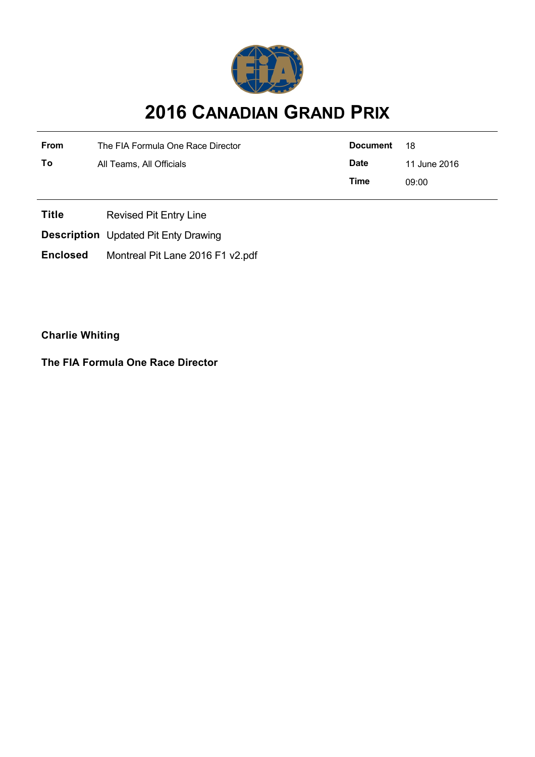

## **2016 CANADIAN GRAND PRIX**

| <b>From</b> | The FIA Formula One Race Director | Document    | - 18         |
|-------------|-----------------------------------|-------------|--------------|
| То          | All Teams, All Officials          | <b>Date</b> | 11 June 2016 |
|             |                                   | Time        | 09:00        |

**Title** Revised Pit Entry Line

**Description** Updated Pit Enty Drawing

**Enclosed** Montreal Pit Lane 2016 F1 v2.pdf

**Charlie Whiting**

**The FIA Formula One Race Director**